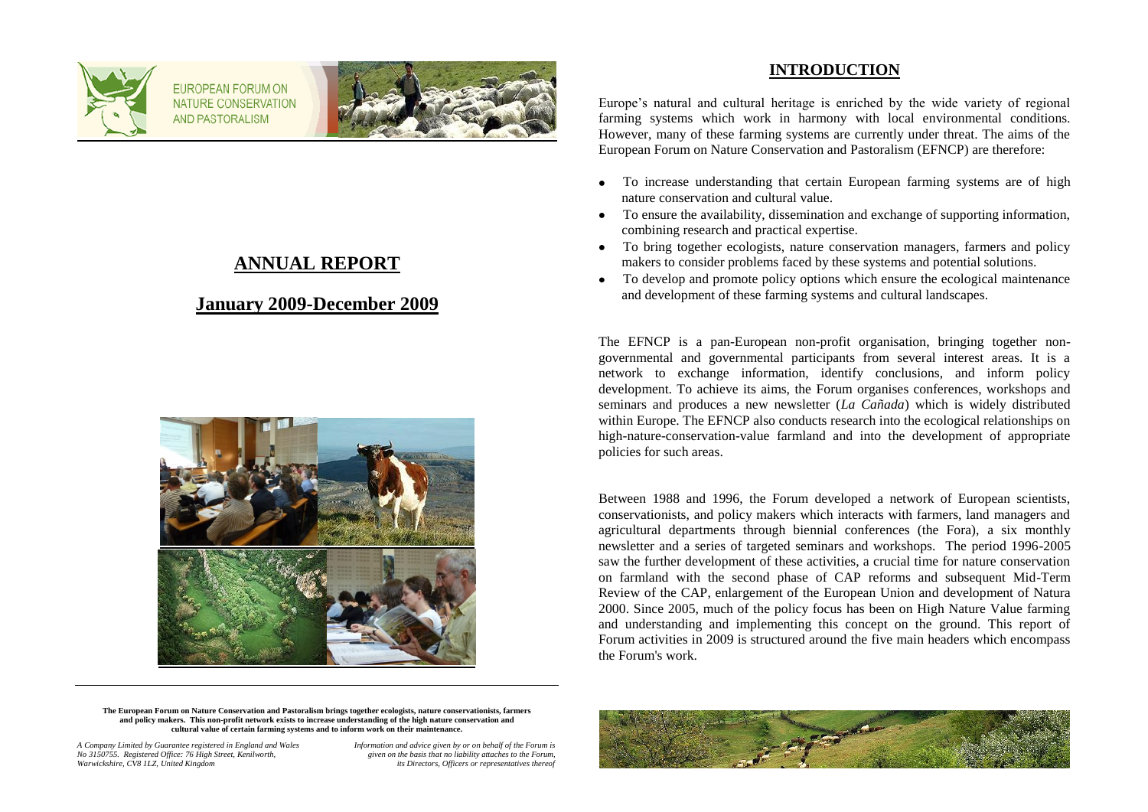

FUROPEAN FORUM ON NATURE CONSERVATION **AND PASTORALISM** 



# **ANNUAL REPORT**

## **January 2009-December 2009**



### **INTRODUCTION**

Europe's natural and cultural heritage is enriched by the wide variety of regional farming systems which work in harmony with local environmental conditions. However, many of these farming systems are currently under threat. The aims of the European Forum on Nature Conservation and Pastoralism (EFNCP) are therefore:

- To increase understanding that certain European farming systems are of high  $\bullet$ nature conservation and cultural value.
- To ensure the availability, dissemination and exchange of supporting information, combining research and practical expertise.
- To bring together ecologists, nature conservation managers, farmers and policy makers to consider problems faced by these systems and potential solutions.
- To develop and promote policy options which ensure the ecological maintenance  $\bullet$ and development of these farming systems and cultural landscapes.

The EFNCP is a pan-European non-profit organisation, bringing together nongovernmental and governmental participants from several interest areas. It is a network to exchange information, identify conclusions, and inform policy development. To achieve its aims, the Forum organises conferences, workshops and seminars and produces a new newsletter (*La Cañada*) which is widely distributed within Europe. The EFNCP also conducts research into the ecological relationships on high-nature-conservation-value farmland and into the development of appropriate policies for such areas.

Between 1988 and 1996, the Forum developed a network of European scientists, conservationists, and policy makers which interacts with farmers, land managers and agricultural departments through biennial conferences (the Fora), a six monthly newsletter and a series of targeted seminars and workshops. The period 1996-2005 saw the further development of these activities, a crucial time for nature conservation on farmland with the second phase of CAP reforms and subsequent Mid-Term Review of the CAP, enlargement of the European Union and development of Natura 2000. Since 2005, much of the policy focus has been on High Nature Value farming and understanding and implementing this concept on the ground. This report of Forum activities in 2009 is structured around the five main headers which encompass the Forum's work.

**The European Forum on Nature Conservation and Pastoralism brings together ecologists, nature conservationists, farmers and policy makers. This non-profit network exists to increase understanding of the high nature conservation and cultural value of certain farming systems and to inform work on their maintenance.**

*A Company Limited by Guarantee registered in England and Wales Information and advice given by or on behalf of the Forum is No 3150755. Registered Office: 76 High Street, Kenilworth, given on the basis that no liability attaches to the Forum, Warwickshire, CV8 1LZ, United Kingdom* 

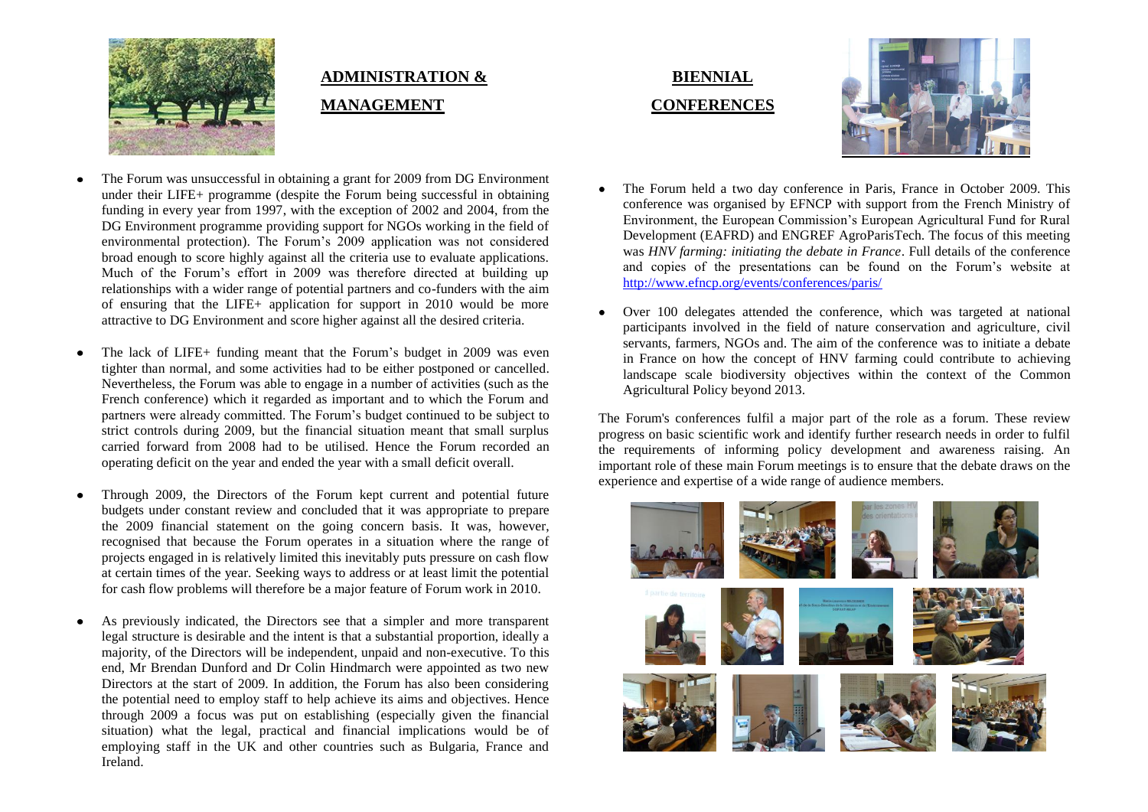

# **ADMINISTRATION & MANAGEMENT**

- The Forum was unsuccessful in obtaining a grant for 2009 from DG Environment under their LIFE+ programme (despite the Forum being successful in obtaining funding in every year from 1997, with the exception of 2002 and 2004, from the DG Environment programme providing support for NGOs working in the field of environmental protection). The Forum's 2009 application was not considered broad enough to score highly against all the criteria use to evaluate applications. Much of the Forum's effort in 2009 was therefore directed at building up relationships with a wider range of potential partners and co-funders with the aim of ensuring that the LIFE+ application for support in 2010 would be more attractive to DG Environment and score higher against all the desired criteria.
- The lack of LIFE+ funding meant that the Forum's budget in 2009 was even tighter than normal, and some activities had to be either postponed or cancelled. Nevertheless, the Forum was able to engage in a number of activities (such as the French conference) which it regarded as important and to which the Forum and partners were already committed. The Forum's budget continued to be subject to strict controls during 2009, but the financial situation meant that small surplus carried forward from 2008 had to be utilised. Hence the Forum recorded an operating deficit on the year and ended the year with a small deficit overall.
- Through 2009, the Directors of the Forum kept current and potential future budgets under constant review and concluded that it was appropriate to prepare the 2009 financial statement on the going concern basis. It was, however, recognised that because the Forum operates in a situation where the range of projects engaged in is relatively limited this inevitably puts pressure on cash flow at certain times of the year. Seeking ways to address or at least limit the potential for cash flow problems will therefore be a major feature of Forum work in 2010.
- As previously indicated, the Directors see that a simpler and more transparent  $\bullet$ legal structure is desirable and the intent is that a substantial proportion, ideally a majority, of the Directors will be independent, unpaid and non-executive. To this end, Mr Brendan Dunford and Dr Colin Hindmarch were appointed as two new Directors at the start of 2009. In addition, the Forum has also been considering the potential need to employ staff to help achieve its aims and objectives. Hence through 2009 a focus was put on establishing (especially given the financial situation) what the legal, practical and financial implications would be of employing staff in the UK and other countries such as Bulgaria, France and Ireland.





- The Forum held a two day conference in Paris, France in October 2009. This conference was organised by EFNCP with support from the French Ministry of Environment, the European Commission's European Agricultural Fund for Rural Development (EAFRD) and ENGREF AgroParisTech. The focus of this meeting was *HNV farming: initiating the debate in France*. Full details of the conference and copies of the presentations can be found on the Forum's website at <http://www.efncp.org/events/conferences/paris/>
- Over 100 delegates attended the conference, which was targeted at national participants involved in the field of nature conservation and agriculture, civil servants, farmers, NGOs and. The aim of the conference was to initiate a debate in France on how the concept of HNV farming could contribute to achieving landscape scale biodiversity objectives within the context of the Common Agricultural Policy beyond 2013.

The Forum's conferences fulfil a major part of the role as a forum. These review progress on basic scientific work and identify further research needs in order to fulfil the requirements of informing policy development and awareness raising. An important role of these main Forum meetings is to ensure that the debate draws on the experience and expertise of a wide range of audience members.

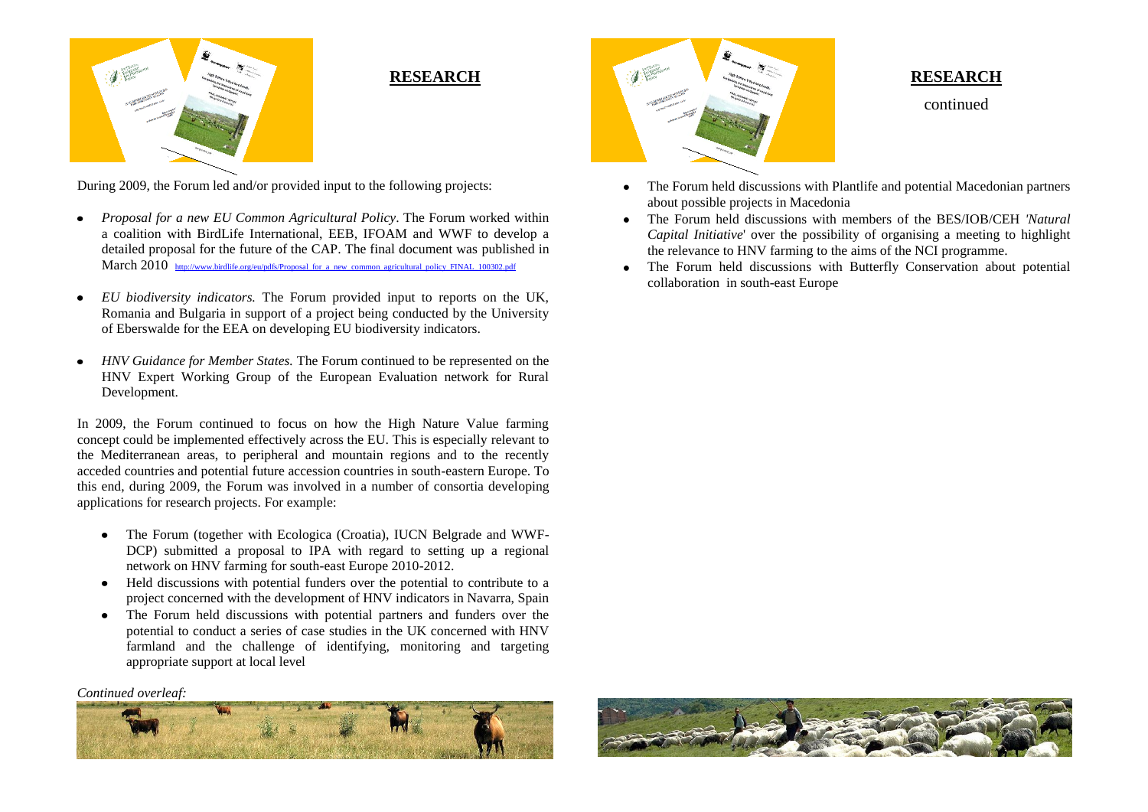

### **RESEARCH**

During 2009, the Forum led and/or provided input to the following projects:

- *Proposal for a new EU Common Agricultural Policy*. The Forum worked within a coalition with BirdLife International, EEB, IFOAM and WWF to develop a detailed proposal for the future of the CAP. The final document was published in March 2010 [http://www.birdlife.org/eu/pdfs/Proposal\\_for\\_a\\_new\\_common\\_agricultural\\_policy\\_FINAL\\_100302.pdf](http://www.birdlife.org/eu/pdfs/Proposal_for_a_new_common_agricultural_policy_FINAL_100302.pdf)
- *EU biodiversity indicators.* The Forum provided input to reports on the UK,  $\bullet$ Romania and Bulgaria in support of a project being conducted by the University of Eberswalde for the EEA on developing EU biodiversity indicators.
- *HNV Guidance for Member States.* The Forum continued to be represented on the  $\bullet$ HNV Expert Working Group of the European Evaluation network for Rural Development.

In 2009, the Forum continued to focus on how the High Nature Value farming concept could be implemented effectively across the EU. This is especially relevant to the Mediterranean areas, to peripheral and mountain regions and to the recently acceded countries and potential future accession countries in south-eastern Europe. To this end, during 2009, the Forum was involved in a number of consortia developing applications for research projects. For example:

- The Forum (together with Ecologica (Croatia), IUCN Belgrade and WWF- $\bullet$ DCP) submitted a proposal to IPA with regard to setting up a regional network on HNV farming for south-east Europe 2010-2012.
- Held discussions with potential funders over the potential to contribute to a  $\bullet$ project concerned with the development of HNV indicators in Navarra, Spain
- The Forum held discussions with potential partners and funders over the  $\bullet$ potential to conduct a series of case studies in the UK concerned with HNV farmland and the challenge of identifying, monitoring and targeting appropriate support at local level

*Continued overleaf:*





#### **RESEARCH**

continued

- The Forum held discussions with Plantlife and potential Macedonian partners about possible projects in Macedonia
- The Forum held discussions with members of the BES/IOB/CEH *'Natural Capital Initiative*' over the possibility of organising a meeting to highlight the relevance to HNV farming to the aims of the NCI programme.
- The Forum held discussions with Butterfly Conservation about potential  $\bullet$ collaboration in south-east Europe

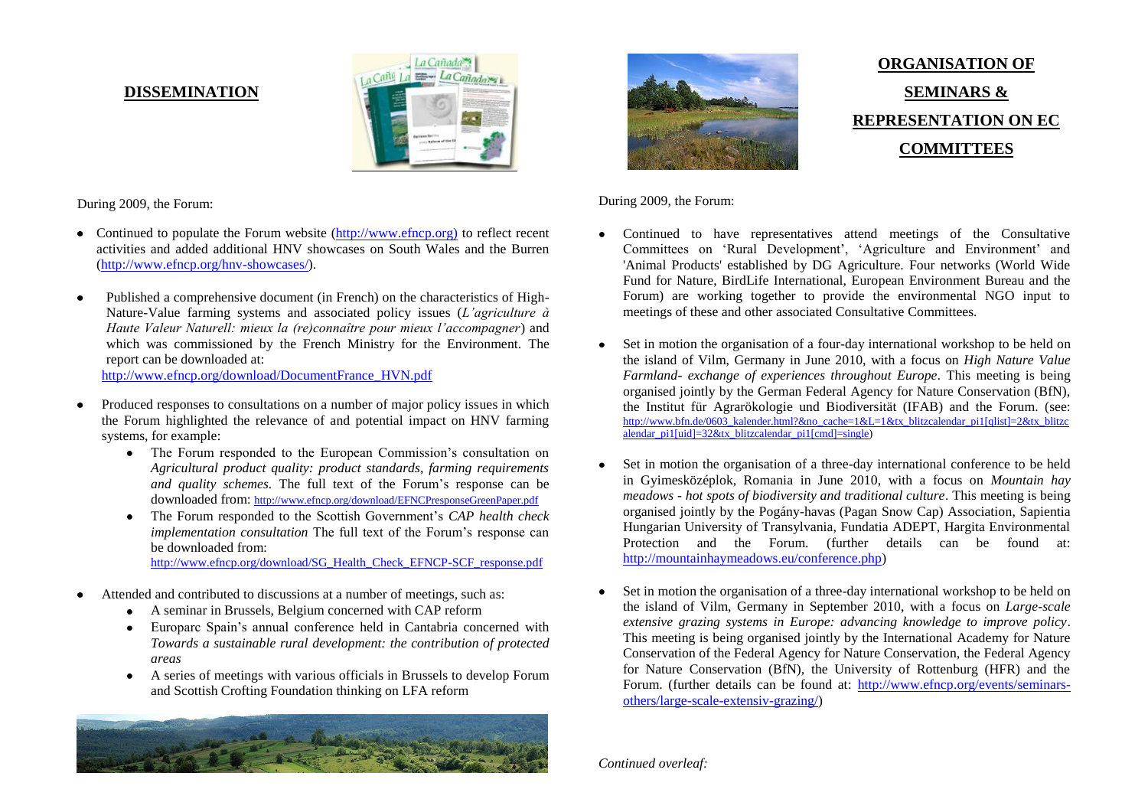#### **DISSEMINATION**



During 2009, the Forum:

- Continued to populate the Forum website [\(http://www.efncp.org\)](http://www.efncp.org)/) to reflect recent activities and added additional HNV showcases on South Wales and the Burren [\(http://www.efncp.org/hnv-showcases/\)](http://www.efncp.org/hnv-showcases/).
- Published a comprehensive document (in French) on the characteristics of High- $\bullet$ Nature-Value farming systems and associated policy issues (*L'agriculture à Haute Valeur Naturell: mieux la (re)connaître pour mieux l'accompagner*) and which was commissioned by the French Ministry for the Environment. The report can be downloaded at:

[http://www.efncp.org/download/DocumentFrance\\_HVN.pdf](http://www.efncp.org/download/DocumentFrance_HVN.pdf)

- Produced responses to consultations on a number of major policy issues in which the Forum highlighted the relevance of and potential impact on HNV farming systems, for example:
	- The Forum responded to the European Commission's consultation on *Agricultural product quality: product standards, farming requirements and quality schemes.* The full text of the Forum's response can be downloaded from: <http://www.efncp.org/download/EFNCPresponseGreenPaper.pdf>
	- $\bullet$ The Forum responded to the Scottish Government's *CAP health check implementation consultation* The full text of the Forum's response can be downloaded from: [http://www.efncp.org/download/SG\\_Health\\_Check\\_EFNCP-SCF\\_response.pdf](http://www.efncp.org/download/SG_Health_Check_EFNCP-SCF_response.pdf)

- Attended and contributed to discussions at a number of meetings, such as:
	- $\bullet$ A seminar in Brussels, Belgium concerned with CAP reform
	- Europarc Spain's annual conference held in Cantabria concerned with *Towards a sustainable rural development: the contribution of protected areas*
	- A series of meetings with various officials in Brussels to develop Forum and Scottish Crofting Foundation thinking on LFA reform





**ORGANISATION OF SEMINARS & REPRESENTATION ON EC COMMITTEES**

During 2009, the Forum:

- Continued to have representatives attend meetings of the Consultative Committees on 'Rural Development', 'Agriculture and Environment' and 'Animal Products' established by DG Agriculture. Four networks (World Wide Fund for Nature, BirdLife International, European Environment Bureau and the Forum) are working together to provide the environmental NGO input to meetings of these and other associated Consultative Committees.
- Set in motion the organisation of a four-day international workshop to be held on the island of Vilm, Germany in June 2010, with a focus on *High Nature Value Farmland- exchange of experiences throughout Europe.* This meeting is being organised jointly by the German Federal Agency for Nature Conservation (BfN), the Institut für Agrarökologie und Biodiversität (IFAB) and the Forum. (see: [http://www.bfn.de/0603\\_kalender.html?&no\\_cache=1&L=1&tx\\_blitzcalendar\\_pi1\[qlist\]=2&tx\\_blitzc](http://www.bfn.de/0603_kalender.html?&no_cache=1&L=1&tx_blitzcalendar_pi1%5bqlist%5d=2&tx_blitzcalendar_pi1%5buid%5d=32&tx_blitzcalendar_pi1%5bcmd%5d=single) [alendar\\_pi1\[uid\]=32&tx\\_blitzcalendar\\_pi1\[cmd\]=single\)](http://www.bfn.de/0603_kalender.html?&no_cache=1&L=1&tx_blitzcalendar_pi1%5bqlist%5d=2&tx_blitzcalendar_pi1%5buid%5d=32&tx_blitzcalendar_pi1%5bcmd%5d=single)
- Set in motion the organisation of a three-day international conference to be held in Gyimesközéplok, Romania in June 2010, with a focus on *Mountain hay meadows - hot spots of biodiversity and traditional culture*. This meeting is being organised jointly by the Pogány-havas (Pagan Snow Cap) Association, Sapientia Hungarian University of Transylvania, Fundatia ADEPT, Hargita Environmental Protection and the Forum. (further details can be found at: [http://mountainhaymeadows.eu/conference.php\)](http://mountainhaymeadows.eu/conference.php)
- Set in motion the organisation of a three-day international workshop to be held on the island of Vilm, Germany in September 2010, with a focus on *Large-scale extensive grazing systems in Europe: advancing knowledge to improve policy*. This meeting is being organised jointly by the International Academy for Nature Conservation of the Federal Agency for Nature Conservation, the Federal Agency for Nature Conservation (BfN), the University of Rottenburg (HFR) and the Forum. (further details can be found at: [http://www.efncp.org/events/seminars](http://www.efncp.org/events/seminars-others/large-scale-extensiv-grazing/)[others/large-scale-extensiv-grazing/\)](http://www.efncp.org/events/seminars-others/large-scale-extensiv-grazing/)

*Continued overleaf:*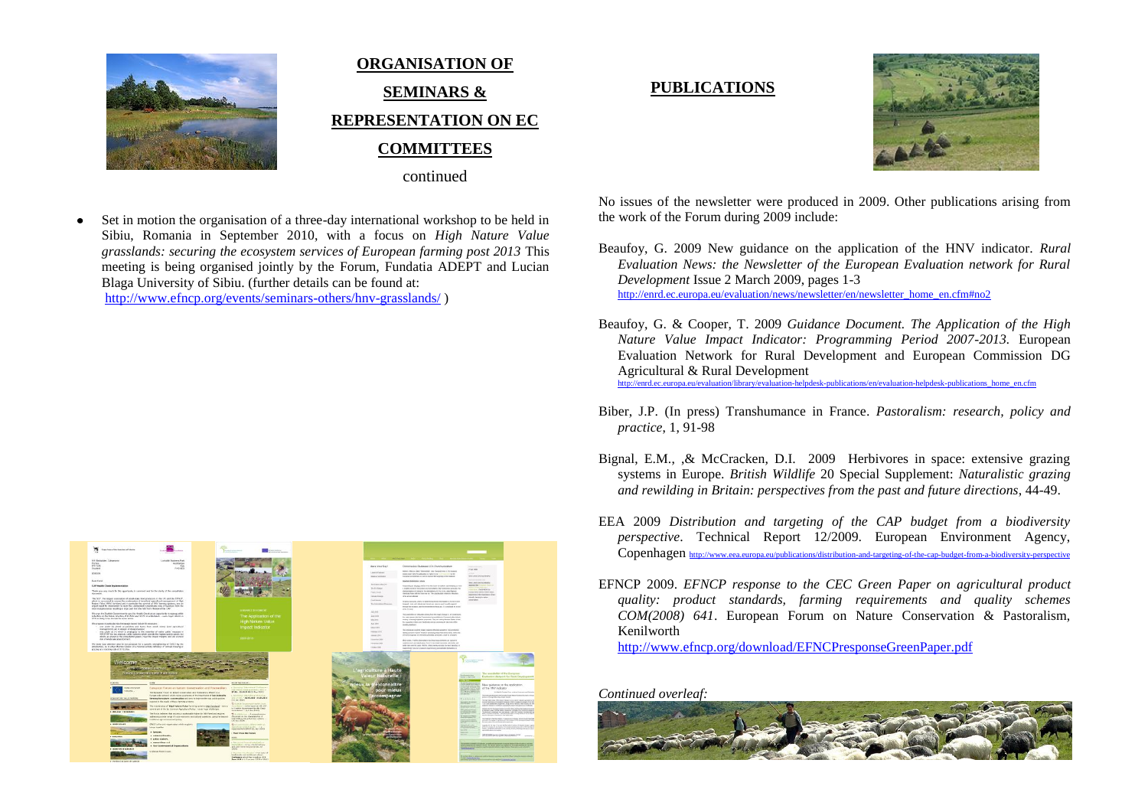

# **ORGANISATION OF SEMINARS & REPRESENTATION ON EC COMMITTEES**

continued

Set in motion the organisation of a three-day international workshop to be held in Sibiu, Romania in September 2010, with a focus on *High Nature Value grasslands: securing the ecosystem services of European farming post 2013* This meeting is being organised jointly by the Forum, Fundatia ADEPT and Lucian Blaga University of Sibiu. (further details can be found at:

<http://www.efncp.org/events/seminars-others/hnv-grasslands/> )



## **PUBLICATIONS**



No issues of the newsletter were produced in 2009. Other publications arising from the work of the Forum during 2009 include:

- Beaufoy, G. 2009 New guidance on the application of the HNV indicator. *Rural Evaluation News: the Newsletter of the European Evaluation network for Rural Development* Issue 2 March 2009, pages 1-3 [http://enrd.ec.europa.eu/evaluation/news/newsletter/en/newsletter\\_home\\_en.cfm#no2](http://enrd.ec.europa.eu/evaluation/news/newsletter/en/newsletter_home_en.cfm#no2)
- Beaufoy, G. & Cooper, T. 2009 *Guidance Document. The Application of the High Nature Value Impact Indicator: Programming Period 2007-2013.* European Evaluation Network for Rural Development and European Commission DG Agricultural & Rural Development

[http://enrd.ec.europa.eu/evaluation/library/evaluation-helpdesk-publications/en/evaluation-helpdesk-publications\\_home\\_en.cfm](http://enrd.ec.europa.eu/evaluation/library/evaluation-helpdesk-publications/en/evaluation-helpdesk-publications_home_en.cfm)

- Biber, J.P. (In press) Transhumance in France. *Pastoralism: research, policy and practice*, 1, 91-98
- Bignal, E.M., ,& McCracken, D.I. 2009 Herbivores in space: extensive grazing systems in Europe. *British Wildlife* 20 Special Supplement: *Naturalistic grazing and rewilding in Britain: perspectives from the past and future directions*, 44-49.
- EEA 2009 *Distribution and targeting of the CAP budget from a biodiversity perspective*. Technical Report 12/2009. European Environment Agency, Copenhagen <http://www.eea.europa.eu/publications/distribution-and-targeting-of-the-cap-budget-from-a-biodiversity-perspective>
- EFNCP 2009. *EFNCP response to the CEC Green Paper on agricultural product quality: product standards, farming requirements and quality schemes COM(2008) 641*. European Forum on Nature Conservation & Pastoralism, Kenilworth

<http://www.efncp.org/download/EFNCPresponseGreenPaper.pdf>

*Continued overleaf:*

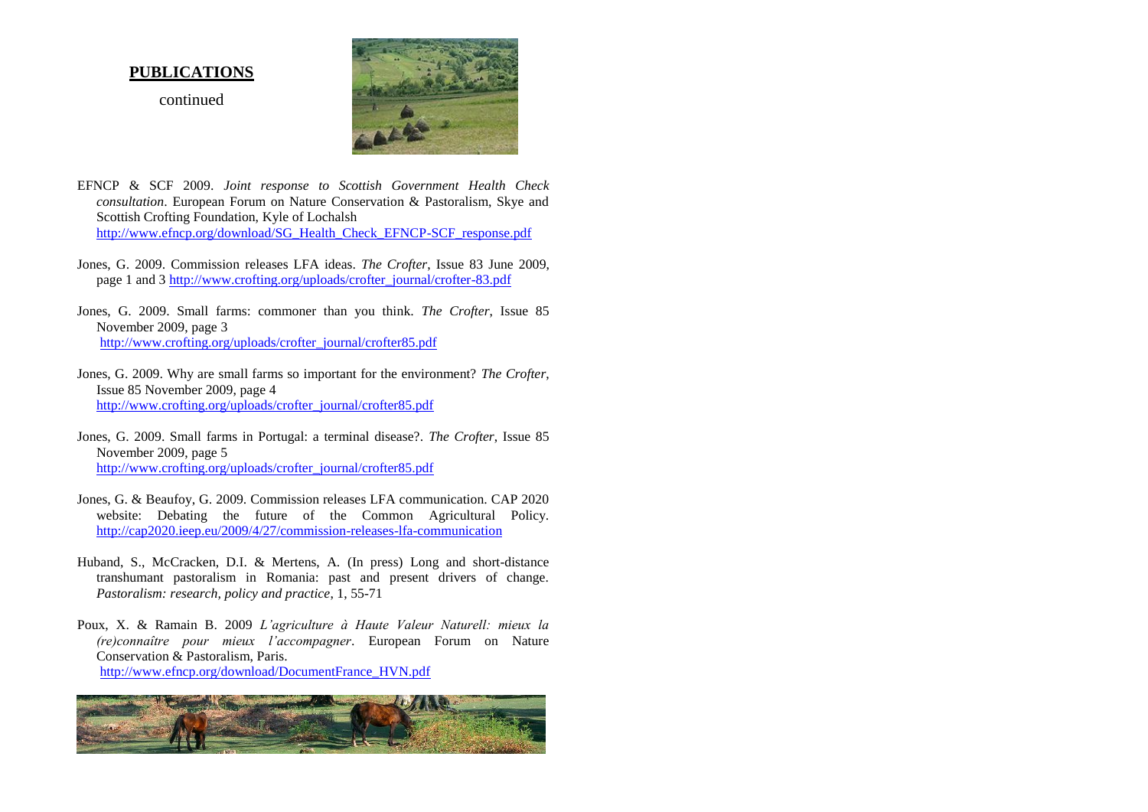#### **PUBLICATIONS**

continued



- EFNCP & SCF 2009. *Joint response to Scottish Government Health Check consultation*. European Forum on Nature Conservation & Pastoralism, Skye and Scottish Crofting Foundation, Kyle of Lochalsh [http://www.efncp.org/download/SG\\_Health\\_Check\\_EFNCP-SCF\\_response.pdf](http://www.efncp.org/download/SG_Health_Check_EFNCP-SCF_response.pdf)
- Jones, G. 2009. Commission releases LFA ideas. *The Crofter*, Issue 83 June 2009, page 1 and 3 [http://www.crofting.org/uploads/crofter\\_journal/crofter-83.pdf](http://www.crofting.org/uploads/crofter_journal/crofter-83.pdf)
- Jones, G. 2009. Small farms: commoner than you think. *The Crofter*, Issue 85 November 2009, page 3 [http://www.crofting.org/uploads/crofter\\_journal/crofter85.pdf](http://www.crofting.org/uploads/crofter_journal/crofter85.pdf)
- Jones, G. 2009. Why are small farms so important for the environment? *The Crofter*, Issue 85 November 2009, page 4 [http://www.crofting.org/uploads/crofter\\_journal/crofter85.pdf](http://www.crofting.org/uploads/crofter_journal/crofter85.pdf)
- Jones, G. 2009. Small farms in Portugal: a terminal disease?. *The Crofter*, Issue 85 November 2009, page 5 [http://www.crofting.org/uploads/crofter\\_journal/crofter85.pdf](http://www.crofting.org/uploads/crofter_journal/crofter85.pdf)
- Jones, G. & Beaufoy, G. 2009. Commission releases LFA communication. CAP 2020 website: Debating the future of the Common Agricultural Policy. <http://cap2020.ieep.eu/2009/4/27/commission-releases-lfa-communication>
- Huband, S., McCracken, D.I. & Mertens, A. (In press) Long and short-distance transhumant pastoralism in Romania: past and present drivers of change. *Pastoralism: research, policy and practice*, 1, 55-71
- Poux, X. & Ramain B. 2009 *L'agriculture à Haute Valeur Naturell: mieux la (re)connaître pour mieux l'accompagner*. European Forum on Nature Conservation & Pastoralism, Paris. [http://www.efncp.org/download/DocumentFrance\\_HVN.pdf](http://www.efncp.org/download/DocumentFrance_HVN.pdf)